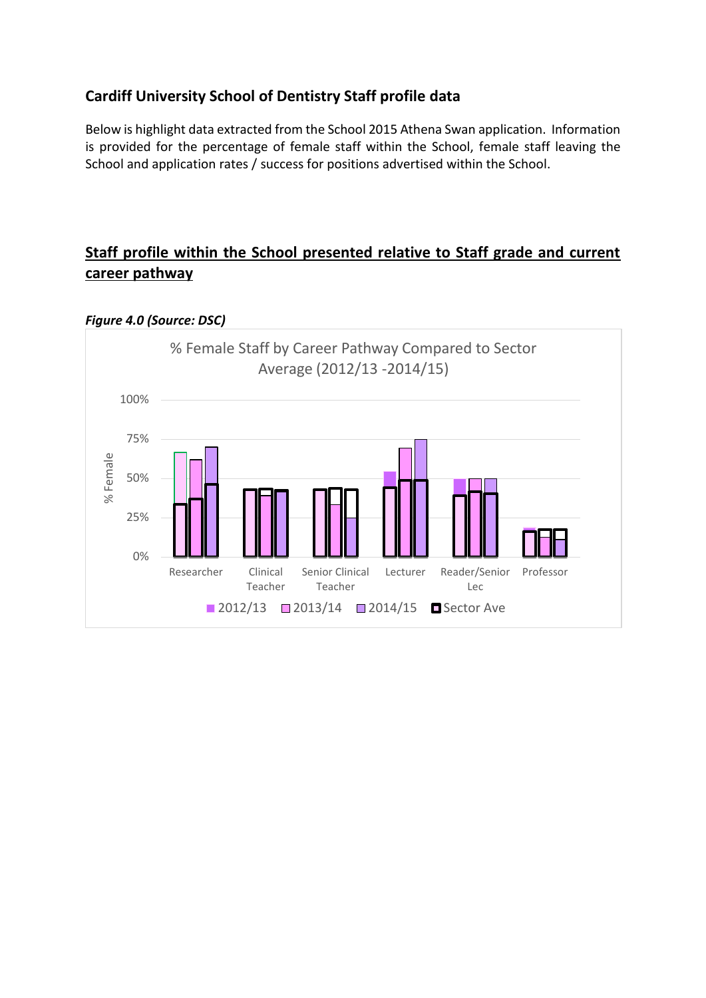## **Cardiff University School of Dentistry Staff profile data**

Below is highlight data extracted from the School 2015 Athena Swan application. Information is provided for the percentage of female staff within the School, female staff leaving the School and application rates / success for positions advertised within the School.

## **Staff profile within the School presented relative to Staff grade and current career pathway**



## *Figure 4.0 (Source: DSC)*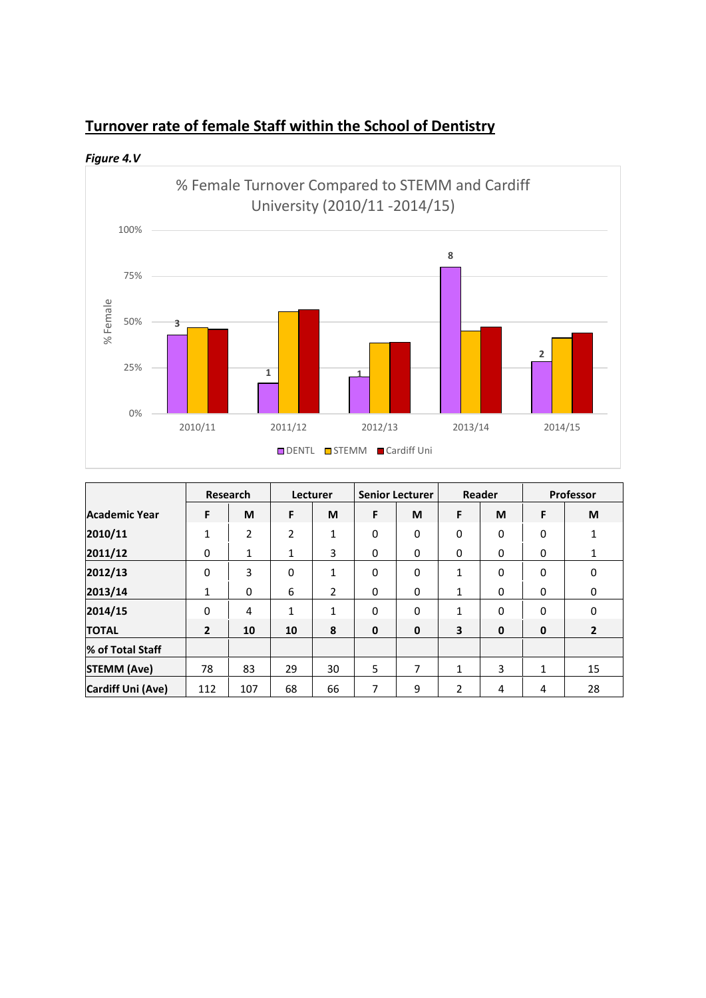

*Figure 4.V*



|                      | Research       |                | Lecturer |    | <b>Senior Lecturer</b> |             | <b>Reader</b> |             | Professor   |                |
|----------------------|----------------|----------------|----------|----|------------------------|-------------|---------------|-------------|-------------|----------------|
| <b>Academic Year</b> | F              | M              | F        | M  | F                      | M           | F             | M           | F           | M              |
| 2010/11              | 1              | $\overline{2}$ | 2        | 1  | 0                      | 0           | 0             | 0           | 0           | 1              |
| 2011/12              | $\Omega$       | 1              | 1        | 3  | 0                      | 0           | 0             | 0           | 0           | 1              |
| 2012/13              | $\mathbf{0}$   | 3              | 0        | 1  | 0                      | 0           | 1             | 0           | 0           | 0              |
| 2013/14              | 1              | 0              | 6        | 2  | 0                      | 0           | 1             | $\mathbf 0$ | 0           | 0              |
| 2014/15              | 0              | 4              | 1        | 1  | 0                      | 0           | 1             | 0           | 0           | 0              |
| <b>TOTAL</b>         | $\overline{2}$ | 10             | 10       | 8  | $\mathbf 0$            | $\mathbf 0$ | 3             | $\mathbf 0$ | $\mathbf 0$ | $\overline{2}$ |
| % of Total Staff     |                |                |          |    |                        |             |               |             |             |                |
| <b>STEMM (Ave)</b>   | 78             | 83             | 29       | 30 | 5                      | 7           | 1             | 3           | 1           | 15             |
| Cardiff Uni (Ave)    | 112            | 107            | 68       | 66 | 7                      | 9           | 2             | 4           | 4           | 28             |